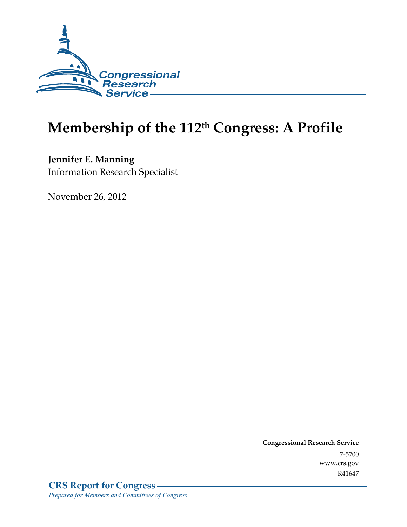

# **Membership of the 112th Congress: A Profile**

**Jennifer E. Manning**  Information Research Specialist

November 26, 2012

**Congressional Research Service**  7-5700 www.crs.gov R41647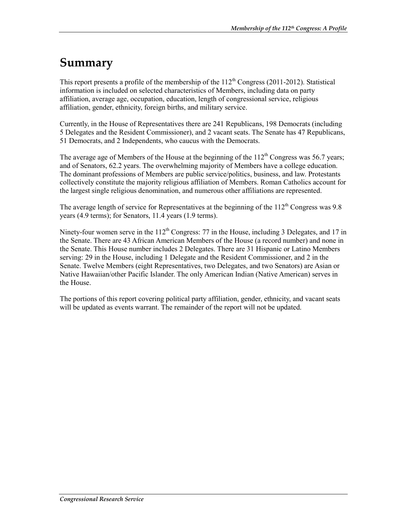## **Summary**

This report presents a profile of the membership of the  $112<sup>th</sup>$  Congress (2011-2012). Statistical information is included on selected characteristics of Members, including data on party affiliation, average age, occupation, education, length of congressional service, religious affiliation, gender, ethnicity, foreign births, and military service.

Currently, in the House of Representatives there are 241 Republicans, 198 Democrats (including 5 Delegates and the Resident Commissioner), and 2 vacant seats. The Senate has 47 Republicans, 51 Democrats, and 2 Independents, who caucus with the Democrats.

The average age of Members of the House at the beginning of the  $112<sup>th</sup>$  Congress was 56.7 years; and of Senators, 62.2 years. The overwhelming majority of Members have a college education. The dominant professions of Members are public service/politics, business, and law. Protestants collectively constitute the majority religious affiliation of Members. Roman Catholics account for the largest single religious denomination, and numerous other affiliations are represented.

The average length of service for Representatives at the beginning of the  $112<sup>th</sup>$  Congress was 9.8 years (4.9 terms); for Senators, 11.4 years (1.9 terms).

Ninety-four women serve in the  $112^{th}$  Congress: 77 in the House, including 3 Delegates, and 17 in the Senate. There are 43 African American Members of the House (a record number) and none in the Senate. This House number includes 2 Delegates. There are 31 Hispanic or Latino Members serving: 29 in the House, including 1 Delegate and the Resident Commissioner, and 2 in the Senate. Twelve Members (eight Representatives, two Delegates, and two Senators) are Asian or Native Hawaiian/other Pacific Islander. The only American Indian (Native American) serves in the House.

The portions of this report covering political party affiliation, gender, ethnicity, and vacant seats will be updated as events warrant. The remainder of the report will not be updated.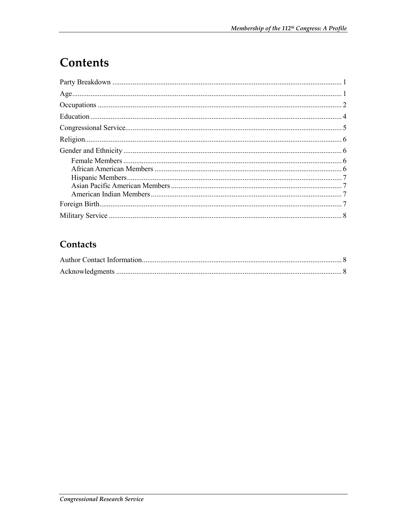# **Contents**

#### Contacts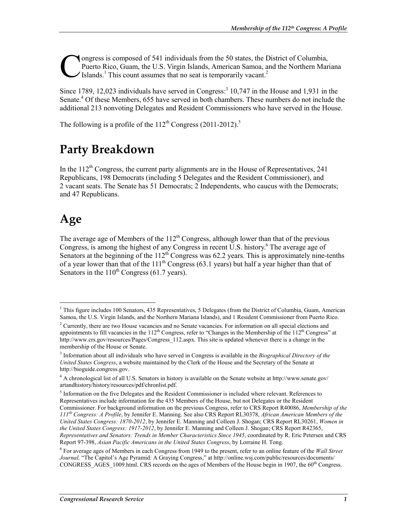ongress is composed of 541 individuals from the 50 states, the District of Columbia, Puerto Rico, Guam, the U.S. Virgin Islands, American Samoa, and the Northern Mariana Islands.<sup>1</sup> This count assumes that no seat is temporarily vacant.<sup>2</sup>  $\mathbf{C}^{\text{on}}_{\text{Isl}}$ 

Since 1789, 12,023 individuals have served in Congress:<sup>3</sup> 10,747 in the House and 1,931 in the Senate.<sup>4</sup> Of these Members, 655 have served in both chambers. These numbers do not include the additional 213 nonvoting Delegates and Resident Commissioners who have served in the House.

The following is a profile of the  $112^{th}$  Congress (2011-2012).<sup>5</sup>

### **Party Breakdown**

In the  $112<sup>th</sup>$  Congress, the current party alignments are in the House of Representatives, 241 Republicans, 198 Democrats (including 5 Delegates and the Resident Commissioner), and 2 vacant seats. The Senate has 51 Democrats; 2 Independents, who caucus with the Democrats; and 47 Republicans.

### **Age**

1

The average age of Members of the  $112<sup>th</sup>$  Congress, although lower than that of the previous Congress, is among the highest of any Congress in recent U.S. history.<sup>6</sup> The average age of Senators at the beginning of the  $112<sup>th</sup>$  Congress was 62.2 years. This is approximately nine-tenths of a year lower than that of the 111<sup>th</sup> Congress (63.1 years) but half a year higher than that of Senators in the  $110^{th}$  Congress (61.7 years).

<sup>&</sup>lt;sup>1</sup> This figure includes 100 Senators, 435 Representatives, 5 Delegates (from the District of Columbia, Guam, American Samoa, the U.S. Virgin Islands, and the Northern Mariana Islands), and 1 Resident Commissioner from Puerto Rico.

<sup>&</sup>lt;sup>2</sup> Currently, there are two House vacancies and no Senate vacancies. For information on all special elections and appointments to fill vacancies in the  $112<sup>th</sup>$  Congress, refer to "Changes in the Membership of the  $112<sup>th</sup>$  Congress" at http://www.crs.gov/resources/Pages/Congress\_112.aspx. This site is updated whenever there is a change in the membership of the House or Senate.

<sup>3</sup> Information about all individuals who have served in Congress is available in the *Biographical Directory of the United States Congress*, a website maintained by the Clerk of the House and the Secretary of the Senate at http://bioguide.congress.gov.

<sup>4</sup> A chronological list of all U.S. Senators in history is available on the Senate website at http://www.senate.gov/ artandhistory/history/resources/pdf/chronlist.pdf.

<sup>&</sup>lt;sup>5</sup> Information on the five Delegates and the Resident Commissioner is included where relevant. References to Representatives include information for the 435 Members of the House, but not Delegates or the Resident Commissioner. For background information on the previous Congress, refer to CRS Report R40086, *Membership of the 111th Congress: A Profile*, by Jennifer E. Manning. See also CRS Report RL30378, *African American Members of the United States Congress: 1870-2012*, by Jennifer E. Manning and Colleen J. Shogan; CRS Report RL30261, *Women in the United States Congress: 1917-2012*, by Jennifer E. Manning and Colleen J. Shogan; CRS Report R42365, *Representatives and Senators: Trends in Member Characteristics Since 1945*, coordinated by R. Eric Petersen and CRS Report 97-398, *Asian Pacific Americans in the United States Congress*, by Lorraine H. Tong.

<sup>6</sup> For average ages of Members in each Congress from 1949 to the present, refer to an online feature of the *Wall Street Journal,* "The Capitol's Age Pyramid: A Graying Congress," at http://online.wsj.com/public/resources/documents/ CONGRESS AGES 1009.html. CRS records on the ages of Members of the House begin in 1907, the  $60^{th}$  Congress.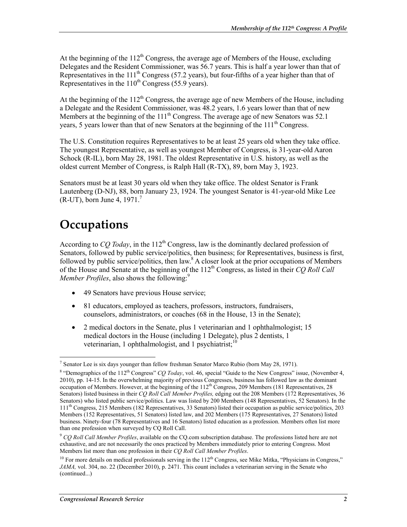At the beginning of the  $112<sup>th</sup>$  Congress, the average age of Members of the House, excluding Delegates and the Resident Commissioner, was 56.7 years. This is half a year lower than that of Representatives in the 111<sup>th</sup> Congress (57.2 years), but four-fifths of a year higher than that of Representatives in the  $110^{th}$  Congress (55.9 years).

At the beginning of the  $112<sup>th</sup>$  Congress, the average age of new Members of the House, including a Delegate and the Resident Commissioner, was 48.2 years, 1.6 years lower than that of new Members at the beginning of the 111<sup>th</sup> Congress. The average age of new Senators was 52.1 years, 5 years lower than that of new Senators at the beginning of the  $111<sup>th</sup>$  Congress.

The U.S. Constitution requires Representatives to be at least 25 years old when they take office. The youngest Representative, as well as youngest Member of Congress, is 31-year-old Aaron Schock (R-IL), born May 28, 1981. The oldest Representative in U.S. history, as well as the oldest current Member of Congress, is Ralph Hall (R-TX), 89, born May 3, 1923.

Senators must be at least 30 years old when they take office. The oldest Senator is Frank Lautenberg (D-NJ), 88, born January 23, 1924. The youngest Senator is 41-year-old Mike Lee  $(R$ -UT), born June 4, 1971.<sup>7</sup>

### **Occupations**

1

According to *CQ Today*, in the  $112<sup>th</sup>$  Congress, law is the dominantly declared profession of Senators, followed by public service/politics, then business; for Representatives, business is first, followed by public service/politics, then  $law$ <sup>8</sup> A closer look at the prior occupations of Members of the House and Senate at the beginning of the 112<sup>th</sup> Congress, as listed in their *CQ Roll Call Member Profiles*, also shows the following:<sup>9</sup>

- 49 Senators have previous House service;
- 81 educators, employed as teachers, professors, instructors, fundraisers, counselors, administrators, or coaches (68 in the House, 13 in the Senate);
- 2 medical doctors in the Senate, plus 1 veterinarian and 1 ophthalmologist; 15 medical doctors in the House (including 1 Delegate), plus 2 dentists, 1 veterinarian, 1 ophthalmologist, and 1 psychiatrist; $10$

<sup>&</sup>lt;sup>7</sup> Senator Lee is six days younger than fellow freshman Senator Marco Rubio (born May 28, 1971).

<sup>&</sup>lt;sup>8</sup> "Demographics of the 112<sup>th</sup> Congress" *CQ Today*, vol. 46, special "Guide to the New Congress" issue, (November 4, 2010), pp. 14-15. In the overwhelming majority of previous Congresses, business has followed law as the dominant occupation of Members. However, at the beginning of the 112<sup>th</sup> Congress, 209 Members (181 Representatives, 28 Senators) listed business in their *CQ Roll Call Member Profiles,* edging out the 208 Members (172 Representatives, 36 Senators) who listed public service/politics. Law was listed by 200 Members (148 Representatives, 52 Senators). In the  $111<sup>th</sup>$  Congress, 215 Members (182 Representatives, 33 Senators) listed their occupation as public service/politics, 203 Members (152 Representatives, 51 Senators) listed law, and 202 Members (175 Representatives, 27 Senators) listed business. Ninety-four (78 Representatives and 16 Senators) listed education as a profession. Members often list more than one profession when surveyed by CQ Roll Call.

<sup>9</sup> *CQ Roll Call Member Profiles*, available on the CQ.com subscription database. The professions listed here are not exhaustive, and are not necessarily the ones practiced by Members immediately prior to entering Congress. Most Members list more than one profession in their *CQ Roll Call Member Profiles*.

 $10$  For more details on medical professionals serving in the  $112<sup>th</sup>$  Congress, see Mike Mitka, "Physicians in Congress," *JAMA*, vol. 304, no. 22 (December 2010), p. 2471. This count includes a veterinarian serving in the Senate who (continued...)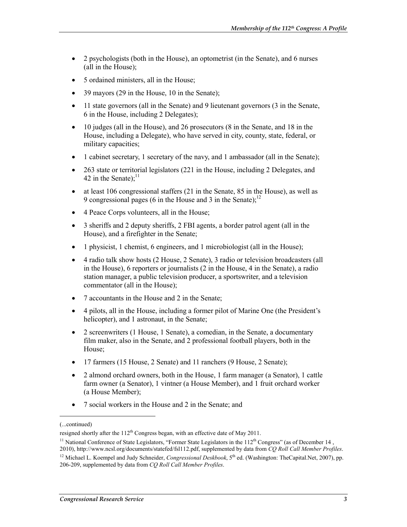- 2 psychologists (both in the House), an optometrist (in the Senate), and 6 nurses (all in the House);
- 5 ordained ministers, all in the House;
- 39 mayors (29 in the House, 10 in the Senate);
- 11 state governors (all in the Senate) and 9 lieutenant governors (3 in the Senate, 6 in the House, including 2 Delegates);
- 10 judges (all in the House), and 26 prosecutors (8 in the Senate, and 18 in the House, including a Delegate), who have served in city, county, state, federal, or military capacities;
- 1 cabinet secretary, 1 secretary of the navy, and 1 ambassador (all in the Senate);
- 263 state or territorial legislators (221 in the House, including 2 Delegates, and 42 in the Senate); $^{11}$
- at least 106 congressional staffers (21 in the Senate, 85 in the House), as well as 9 congressional pages (6 in the House and 3 in the Senate); $^{12}$
- 4 Peace Corps volunteers, all in the House;
- 3 sheriffs and 2 deputy sheriffs, 2 FBI agents, a border patrol agent (all in the House), and a firefighter in the Senate;
- 1 physicist, 1 chemist, 6 engineers, and 1 microbiologist (all in the House);
- 4 radio talk show hosts (2 House, 2 Senate), 3 radio or television broadcasters (all in the House), 6 reporters or journalists (2 in the House, 4 in the Senate), a radio station manager, a public television producer, a sportswriter, and a television commentator (all in the House);
- 7 accountants in the House and 2 in the Senate:
- 4 pilots, all in the House, including a former pilot of Marine One (the President's helicopter), and 1 astronaut, in the Senate;
- 2 screenwriters (1 House, 1 Senate), a comedian, in the Senate, a documentary film maker, also in the Senate, and 2 professional football players, both in the House;
- 17 farmers (15 House, 2 Senate) and 11 ranchers (9 House, 2 Senate);
- 2 almond orchard owners, both in the House, 1 farm manager (a Senator), 1 cattle farm owner (a Senator), 1 vintner (a House Member), and 1 fruit orchard worker (a House Member);
- 7 social workers in the House and 2 in the Senate; and

 $\overline{a}$ 

<sup>(...</sup>continued)

resigned shortly after the  $112<sup>th</sup>$  Congress began, with an effective date of May 2011.

<sup>&</sup>lt;sup>11</sup> National Conference of State Legislators, "Former State Legislators in the  $112<sup>th</sup>$  Congress" (as of December 14, 2010), http://www.ncsl.org/documents/statefed/fsl112.pdf, supplemented by data from *CQ Roll Call Member Profiles*. <sup>12</sup> Michael L. Koempel and Judy Schneider, *Congressional Deskbook*, 5<sup>th</sup> ed. (Washington: TheCapital.Net, 2007), pp.

<sup>206-209,</sup> supplemented by data from *CQ Roll Call Member Profiles*.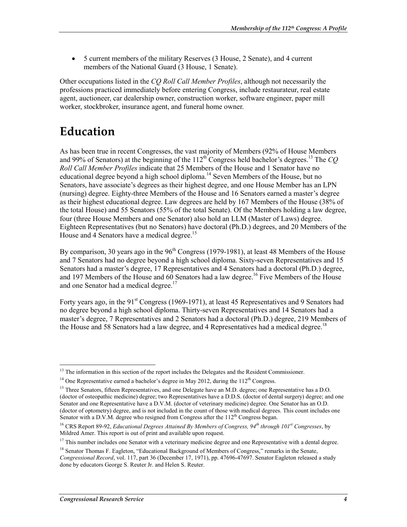• 5 current members of the military Reserves (3 House, 2 Senate), and 4 current members of the National Guard (3 House, 1 Senate).

Other occupations listed in the *CQ Roll Call Member Profiles*, although not necessarily the professions practiced immediately before entering Congress, include restaurateur, real estate agent, auctioneer, car dealership owner, construction worker, software engineer, paper mill worker, stockbroker, insurance agent, and funeral home owner.

# **Education**

As has been true in recent Congresses, the vast majority of Members (92% of House Members and 99% of Senators) at the beginning of the  $112<sup>th</sup>$  Congress held bachelor's degrees.<sup>13</sup> The *CQ Roll Call Member Profiles* indicate that 25 Members of the House and 1 Senator have no educational degree beyond a high school diploma.<sup>14</sup> Seven Members of the House, but no Senators, have associate's degrees as their highest degree, and one House Member has an LPN (nursing) degree. Eighty-three Members of the House and 16 Senators earned a master's degree as their highest educational degree. Law degrees are held by 167 Members of the House (38% of the total House) and 55 Senators (55% of the total Senate). Of the Members holding a law degree, four (three House Members and one Senator) also hold an LLM (Master of Laws) degree. Eighteen Representatives (but no Senators) have doctoral (Ph.D.) degrees, and 20 Members of the House and 4 Senators have a medical degree.<sup>15</sup>

By comparison, 30 years ago in the  $96<sup>th</sup>$  Congress (1979-1981), at least 48 Members of the House and 7 Senators had no degree beyond a high school diploma. Sixty-seven Representatives and 15 Senators had a master's degree, 17 Representatives and 4 Senators had a doctoral (Ph.D.) degree, and 197 Members of the House and  $60$  Senators had a law degree.<sup>16</sup> Five Members of the House and one Senator had a medical degree.<sup>17</sup>

Forty years ago, in the 91<sup>st</sup> Congress (1969-1971), at least 45 Representatives and 9 Senators had no degree beyond a high school diploma. Thirty-seven Representatives and 14 Senators had a master's degree, 7 Representatives and 2 Senators had a doctoral (Ph.D.) degree, 219 Members of the House and 58 Senators had a law degree, and 4 Representatives had a medical degree.<sup>18</sup>

<sup>&</sup>lt;u>.</u> <sup>13</sup> The information in this section of the report includes the Delegates and the Resident Commissioner.

<sup>&</sup>lt;sup>14</sup> One Representative earned a bachelor's degree in May 2012, during the  $112<sup>th</sup>$  Congress.

<sup>&</sup>lt;sup>15</sup> Three Senators, fifteen Representatives, and one Delegate have an M.D. degree; one Representative has a D.O. (doctor of osteopathic medicine) degree; two Representatives have a D.D.S. (doctor of dental surgery) degree; and one Senator and one Representative have a D.V.M. (doctor of veterinary medicine) degree. One Senator has an O.D. (doctor of optometry) degree, and is not included in the count of those with medical degrees. This count includes one Senator with a D.V.M. degree who resigned from Congress after the  $112<sup>th</sup>$  Congress began.

<sup>16</sup> CRS Report 89-92, *Educational Degrees Attained By Members of Congress, 94th through 101st Congresses*, by Mildred Amer. This report is out of print and available upon request.

 $17$  This number includes one Senator with a veterinary medicine degree and one Representative with a dental degree.

<sup>&</sup>lt;sup>18</sup> Senator Thomas F. Eagleton, "Educational Background of Members of Congress," remarks in the Senate, *Congressional Record*, vol. 117, part 36 (December 17, 1971), pp. 47696-47697. Senator Eagleton released a study done by educators George S. Reuter Jr. and Helen S. Reuter.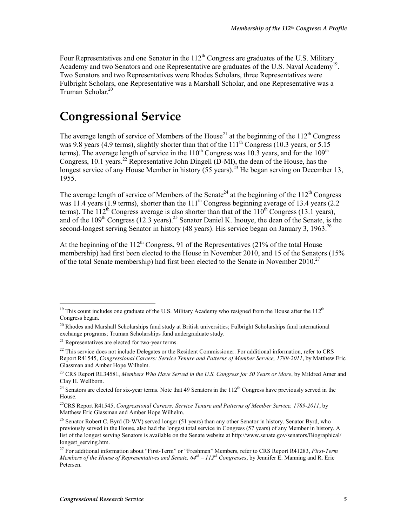Four Representatives and one Senator in the  $112^{th}$  Congress are graduates of the U.S. Military Academy and two Senators and one Representative are graduates of the U.S. Naval Academy<sup>19</sup>. Two Senators and two Representatives were Rhodes Scholars, three Representatives were Fulbright Scholars, one Representative was a Marshall Scholar, and one Representative was a Truman Scholar.<sup>20</sup>

### **Congressional Service**

The average length of service of Members of the House<sup>21</sup> at the beginning of the  $112<sup>th</sup>$  Congress was 9.8 years (4.9 terms), slightly shorter than that of the 111<sup>th</sup> Congress (10.3 years, or 5.15 terms). The average length of service in the  $110^{th}$  Congress was 10.3 years, and for the  $109^{th}$ Congress, 10.1 years.<sup>22</sup> Representative John Dingell (D-MI), the dean of the House, has the longest service of any House Member in history  $(55 \text{ years})^{23}$  He began serving on December 13, 1955.

The average length of service of Members of the Senate<sup>24</sup> at the beginning of the  $112<sup>th</sup>$  Congress was 11.4 years (1.9 terms), shorter than the  $11<sup>th</sup>$  Congress beginning average of 13.4 years (2.2) terms). The  $112^{th}$  Congress average is also shorter than that of the  $110^{th}$  Congress (13.1 years), and of the  $109<sup>th</sup>$  Congress (12.3 years).<sup>25</sup> Senator Daniel K. Inouye, the dean of the Senate, is the second-longest serving Senator in history (48 years). His service began on January 3, 1963.<sup>26</sup>

At the beginning of the  $112<sup>th</sup>$  Congress, 91 of the Representatives (21% of the total House membership) had first been elected to the House in November 2010, and 15 of the Senators (15% of the total Senate membership) had first been elected to the Senate in November  $2010^{27}$ 

<u>.</u>

<sup>&</sup>lt;sup>19</sup> This count includes one graduate of the U.S. Military Academy who resigned from the House after the  $112<sup>th</sup>$ Congress began.

<sup>&</sup>lt;sup>20</sup> Rhodes and Marshall Scholarships fund study at British universities; Fulbright Scholarships fund international exchange programs; Truman Scholarships fund undergraduate study.

<sup>21</sup> Representatives are elected for two-year terms.

 $^{22}$  This service does not include Delegates or the Resident Commissioner. For additional information, refer to CRS Report R41545, *Congressional Careers: Service Tenure and Patterns of Member Service, 1789-2011*, by Matthew Eric Glassman and Amber Hope Wilhelm.

<sup>23</sup> CRS Report RL34581, *Members Who Have Served in the U.S. Congress for 30 Years or More*, by Mildred Amer and Clay H. Wellborn.

<sup>&</sup>lt;sup>24</sup> Senators are elected for six-year terms. Note that 49 Senators in the  $112^{th}$  Congress have previously served in the House.

<sup>25</sup>CRS Report R41545, *Congressional Careers: Service Tenure and Patterns of Member Service, 1789-2011*, by Matthew Eric Glassman and Amber Hope Wilhelm.

<sup>&</sup>lt;sup>26</sup> Senator Robert C. Byrd (D-WV) served longer (51 years) than any other Senator in history. Senator Byrd, who previously served in the House, also had the longest total service in Congress (57 years) of any Member in history. A list of the longest serving Senators is available on the Senate website at http://www.senate.gov/senators/Biographical/ longest serving.htm.

<sup>27</sup> For additional information about "First-Term" or "Freshmen" Members, refer to CRS Report R41283, *First-Term Members of the House of Representatives and Senate, 64th – 112th Congresses*, by Jennifer E. Manning and R. Eric Petersen.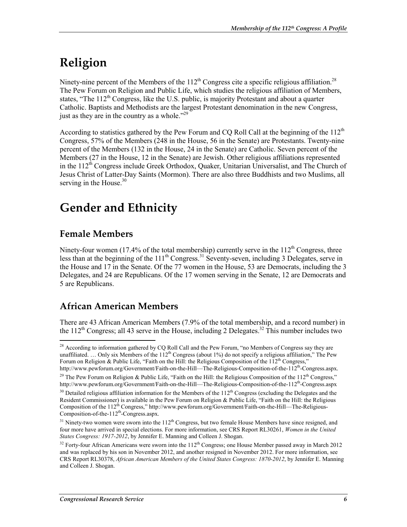# **Religion**

Ninety-nine percent of the Members of the  $112<sup>th</sup>$  Congress cite a specific religious affiliation.<sup>28</sup> The Pew Forum on Religion and Public Life, which studies the religious affiliation of Members, states, "The  $112<sup>th</sup>$  Congress, like the U.S. public, is majority Protestant and about a quarter Catholic. Baptists and Methodists are the largest Protestant denomination in the new Congress, just as they are in the country as a whole."<sup>29</sup>

According to statistics gathered by the Pew Forum and CQ Roll Call at the beginning of the  $112<sup>th</sup>$ Congress, 57% of the Members (248 in the House, 56 in the Senate) are Protestants. Twenty-nine percent of the Members (132 in the House, 24 in the Senate) are Catholic. Seven percent of the Members (27 in the House, 12 in the Senate) are Jewish. Other religious affiliations represented in the  $112<sup>th</sup>$  Congress include Greek Orthodox, Ouaker, Unitarian Universalist, and The Church of Jesus Christ of Latter-Day Saints (Mormon). There are also three Buddhists and two Muslims, all serving in the House.<sup>30</sup>

# **Gender and Ethnicity**

#### **Female Members**

<u>.</u>

Ninety-four women (17.4% of the total membership) currently serve in the  $112<sup>th</sup>$  Congress, three less than at the beginning of the  $111^{th}$  Congress.<sup>31</sup> Seventy-seven, including 3 Delegates, serve in the House and 17 in the Senate. Of the 77 women in the House, 53 are Democrats, including the 3 Delegates, and 24 are Republicans. Of the 17 women serving in the Senate, 12 are Democrats and 5 are Republicans.

#### **African American Members**

There are 43 African American Members (7.9% of the total membership, and a record number) in the 112<sup>th</sup> Congress; all 43 serve in the House, including 2 Delegates.<sup>32</sup> This number includes two

<sup>&</sup>lt;sup>28</sup> According to information gathered by CQ Roll Call and the Pew Forum, "no Members of Congress say they are unaffiliated. ... Only six Members of the  $112^{th}$  Congress (about 1%) do not specify a religious affiliation," The Pew Forum on Religion & Public Life, "Faith on the Hill: the Religious Composition of the  $112^{th}$  Congress," http://www.pewforum.org/Government/Faith-on-the-Hill—The-Religious-Composition-of-the-112th-Congress.aspx.

<sup>&</sup>lt;sup>29</sup> The Pew Forum on Religion & Public Life, "Faith on the Hill: the Religious Composition of the 112<sup>th</sup> Congress," http://www.pewforum.org/Government/Faith-on-the-Hill—The-Religious-Composition-of-the-112th-Congress.aspx

<sup>&</sup>lt;sup>30</sup> Detailed religious affiliation information for the Members of the 112<sup>th</sup> Congress (excluding the Delegates and the Resident Commissioner) is available in the Pew Forum on Religion & Public Life, "Faith on the Hill: the Religious Composition of the 112<sup>th</sup> Congress," http://www.pewforum.org/Government/Faith-on-the-Hill—The-Religious-Composition-of-the-112<sup>th</sup>-Congress.aspx.

 $31$  Ninety-two women were sworn into the  $112<sup>th</sup>$  Congress, but two female House Members have since resigned, and four more have arrived in special elections. For more information, see CRS Report RL30261, *Women in the United States Congress: 1917-2012*, by Jennifer E. Manning and Colleen J. Shogan.

 $32$  Forty-four African Americans were sworn into the  $112<sup>th</sup>$  Congress; one House Member passed away in March 2012 and was replaced by his son in November 2012, and another resigned in November 2012. For more information, see CRS Report RL30378, *African American Members of the United States Congress: 1870-2012*, by Jennifer E. Manning and Colleen J. Shogan.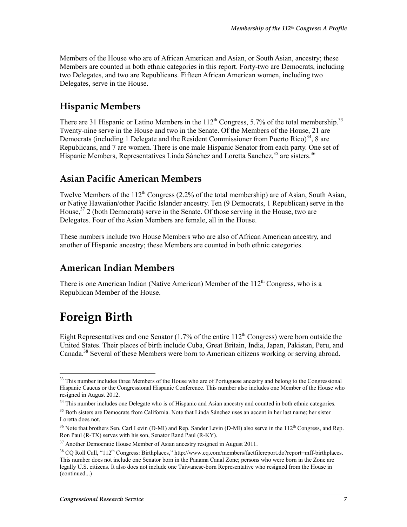Members of the House who are of African American and Asian, or South Asian, ancestry; these Members are counted in both ethnic categories in this report. Forty-two are Democrats, including two Delegates, and two are Republicans. Fifteen African American women, including two Delegates, serve in the House.

#### **Hispanic Members**

There are 31 Hispanic or Latino Members in the  $112<sup>th</sup>$  Congress, 5.7% of the total membership.<sup>33</sup> Twenty-nine serve in the House and two in the Senate. Of the Members of the House, 21 are Democrats (including 1 Delegate and the Resident Commissioner from Puerto Rico) $34$ , 8 are Republicans, and 7 are women. There is one male Hispanic Senator from each party. One set of Hispanic Members, Representatives Linda Sánchez and Loretta Sanchez,<sup>35</sup> are sisters.<sup>36</sup>

#### **Asian Pacific American Members**

Twelve Members of the  $112<sup>th</sup>$  Congress (2.2% of the total membership) are of Asian, South Asian, or Native Hawaiian/other Pacific Islander ancestry. Ten (9 Democrats, 1 Republican) serve in the House,  $37$  2 (both Democrats) serve in the Senate. Of those serving in the House, two are Delegates. Four of the Asian Members are female, all in the House.

These numbers include two House Members who are also of African American ancestry, and another of Hispanic ancestry; these Members are counted in both ethnic categories.

#### **American Indian Members**

There is one American Indian (Native American) Member of the  $112<sup>th</sup>$  Congress, who is a Republican Member of the House.

## **Foreign Birth**

1

Eight Representatives and one Senator  $(1.7\%$  of the entire  $112<sup>th</sup>$  Congress) were born outside the United States. Their places of birth include Cuba, Great Britain, India, Japan, Pakistan, Peru, and Canada.<sup>38</sup> Several of these Members were born to American citizens working or serving abroad.

<sup>&</sup>lt;sup>33</sup> This number includes three Members of the House who are of Portuguese ancestry and belong to the Congressional Hispanic Caucus or the Congressional Hispanic Conference. This number also includes one Member of the House who resigned in August 2012.

<sup>&</sup>lt;sup>34</sup> This number includes one Delegate who is of Hispanic and Asian ancestry and counted in both ethnic categories.

<sup>&</sup>lt;sup>35</sup> Both sisters are Democrats from California. Note that Linda Sánchez uses an accent in her last name; her sister Loretta does not.

<sup>&</sup>lt;sup>36</sup> Note that brothers Sen. Carl Levin (D-MI) and Rep. Sander Levin (D-MI) also serve in the 112<sup>th</sup> Congress, and Rep. Ron Paul (R-TX) serves with his son, Senator Rand Paul (R-KY).

 $37$  Another Democratic House Member of Asian ancestry resigned in August 2011.

<sup>&</sup>lt;sup>38</sup> CQ Roll Call, "112<sup>th</sup> Congress: Birthplaces," http://www.cq.com/members/factfilereport.do?report=mff-birthplaces. This number does not include one Senator born in the Panama Canal Zone; persons who were born in the Zone are legally U.S. citizens. It also does not include one Taiwanese-born Representative who resigned from the House in (continued...)